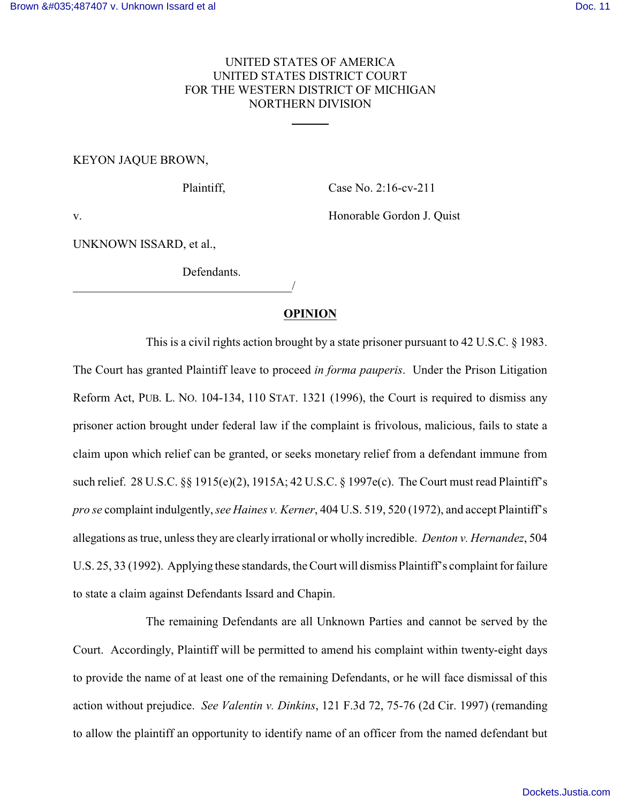# UNITED STATES OF AMERICA UNITED STATES DISTRICT COURT FOR THE WESTERN DISTRICT OF MICHIGAN NORTHERN DIVISION

l

# KEYON JAQUE BROWN,

Plaintiff, Case No. 2:16-cv-211

v. **Example 3** and the Honorable Gordon J. Quist

UNKNOWN ISSARD, et al.,

Defendants.

\_\_\_\_\_\_\_\_\_\_\_\_\_\_\_\_\_\_\_\_\_\_\_\_\_\_\_\_\_\_\_\_\_\_\_\_/

### **OPINION**

This is a civil rights action brought by a state prisoner pursuant to 42 U.S.C. § 1983. The Court has granted Plaintiff leave to proceed *in forma pauperis*. Under the Prison Litigation Reform Act, PUB. L. NO. 104-134, 110 STAT. 1321 (1996), the Court is required to dismiss any prisoner action brought under federal law if the complaint is frivolous, malicious, fails to state a claim upon which relief can be granted, or seeks monetary relief from a defendant immune from such relief. 28 U.S.C. §§ 1915(e)(2), 1915A; 42 U.S.C. § 1997e(c). The Court must read Plaintiff's *pro se* complaint indulgently,*see Haines v. Kerner*, 404 U.S. 519, 520 (1972), and accept Plaintiff's allegations as true, unless they are clearly irrational or wholly incredible. *Denton v. Hernandez*, 504 U.S. 25, 33 (1992). Applying these standards, the Court will dismiss Plaintiff's complaint for failure to state a claim against Defendants Issard and Chapin.

The remaining Defendants are all Unknown Parties and cannot be served by the Court. Accordingly, Plaintiff will be permitted to amend his complaint within twenty-eight days to provide the name of at least one of the remaining Defendants, or he will face dismissal of this action without prejudice. *See Valentin v. Dinkins*, 121 F.3d 72, 75-76 (2d Cir. 1997) (remanding to allow the plaintiff an opportunity to identify name of an officer from the named defendant but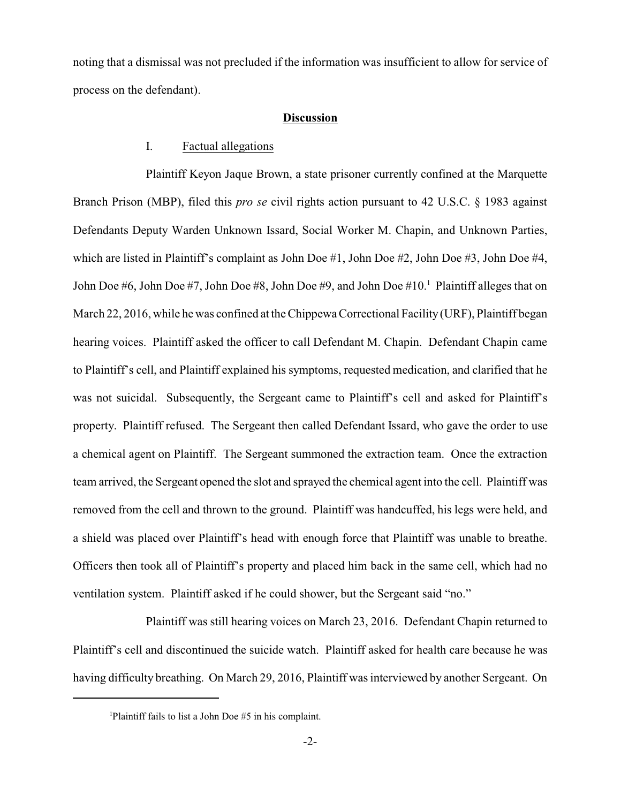noting that a dismissal was not precluded if the information was insufficient to allow for service of process on the defendant).

#### **Discussion**

## I. Factual allegations

Plaintiff Keyon Jaque Brown, a state prisoner currently confined at the Marquette Branch Prison (MBP), filed this *pro se* civil rights action pursuant to 42 U.S.C. § 1983 against Defendants Deputy Warden Unknown Issard, Social Worker M. Chapin, and Unknown Parties, which are listed in Plaintiff's complaint as John Doe #1, John Doe #2, John Doe #3, John Doe #4, John Doe #6, John Doe #7, John Doe #8, John Doe #9, and John Doe #10.<sup>1</sup> Plaintiff alleges that on March 22, 2016, while he was confined at the Chippewa Correctional Facility(URF), Plaintiff began hearing voices. Plaintiff asked the officer to call Defendant M. Chapin. Defendant Chapin came to Plaintiff's cell, and Plaintiff explained his symptoms, requested medication, and clarified that he was not suicidal. Subsequently, the Sergeant came to Plaintiff's cell and asked for Plaintiff's property. Plaintiff refused. The Sergeant then called Defendant Issard, who gave the order to use a chemical agent on Plaintiff. The Sergeant summoned the extraction team. Once the extraction team arrived, the Sergeant opened the slot and sprayed the chemical agent into the cell. Plaintiff was removed from the cell and thrown to the ground. Plaintiff was handcuffed, his legs were held, and a shield was placed over Plaintiff's head with enough force that Plaintiff was unable to breathe. Officers then took all of Plaintiff's property and placed him back in the same cell, which had no ventilation system. Plaintiff asked if he could shower, but the Sergeant said "no."

Plaintiff was still hearing voices on March 23, 2016. Defendant Chapin returned to Plaintiff's cell and discontinued the suicide watch. Plaintiff asked for health care because he was having difficulty breathing. On March 29, 2016, Plaintiff was interviewed by another Sergeant. On

<sup>&</sup>lt;sup>1</sup>Plaintiff fails to list a John Doe  $#5$  in his complaint.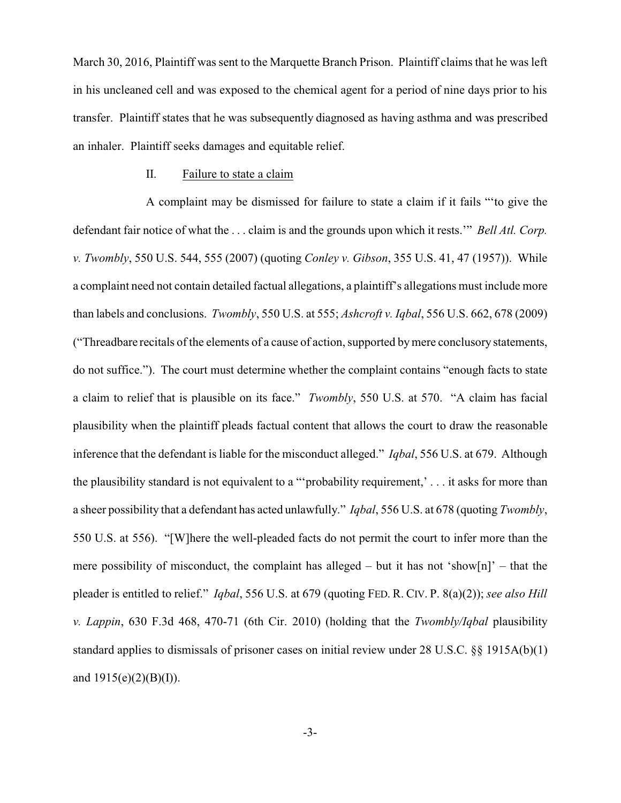March 30, 2016, Plaintiff was sent to the Marquette Branch Prison. Plaintiff claims that he was left in his uncleaned cell and was exposed to the chemical agent for a period of nine days prior to his transfer. Plaintiff states that he was subsequently diagnosed as having asthma and was prescribed an inhaler. Plaintiff seeks damages and equitable relief.

### II. Failure to state a claim

A complaint may be dismissed for failure to state a claim if it fails "'to give the defendant fair notice of what the . . . claim is and the grounds upon which it rests.'" *Bell Atl. Corp. v. Twombly*, 550 U.S. 544, 555 (2007) (quoting *Conley v. Gibson*, 355 U.S. 41, 47 (1957)). While a complaint need not contain detailed factual allegations, a plaintiff's allegations must include more than labels and conclusions. *Twombly*, 550 U.S. at 555; *Ashcroft v. Iqbal*, 556 U.S. 662, 678 (2009) ("Threadbare recitals of the elements of a cause of action, supported bymere conclusory statements, do not suffice."). The court must determine whether the complaint contains "enough facts to state a claim to relief that is plausible on its face." *Twombly*, 550 U.S. at 570. "A claim has facial plausibility when the plaintiff pleads factual content that allows the court to draw the reasonable inference that the defendant is liable for the misconduct alleged." *Iqbal*, 556 U.S. at 679. Although the plausibility standard is not equivalent to a "'probability requirement,' . . . it asks for more than a sheer possibility that a defendant has acted unlawfully." *Iqbal*, 556 U.S. at 678 (quoting *Twombly*, 550 U.S. at 556). "[W]here the well-pleaded facts do not permit the court to infer more than the mere possibility of misconduct, the complaint has alleged – but it has not 'show[n]' – that the pleader is entitled to relief." *Iqbal*, 556 U.S. at 679 (quoting FED. R. CIV. P. 8(a)(2)); *see also Hill v. Lappin*, 630 F.3d 468, 470-71 (6th Cir. 2010) (holding that the *Twombly/Iqbal* plausibility standard applies to dismissals of prisoner cases on initial review under 28 U.S.C. §§ 1915A(b)(1) and  $1915(e)(2)(B)(I)$ .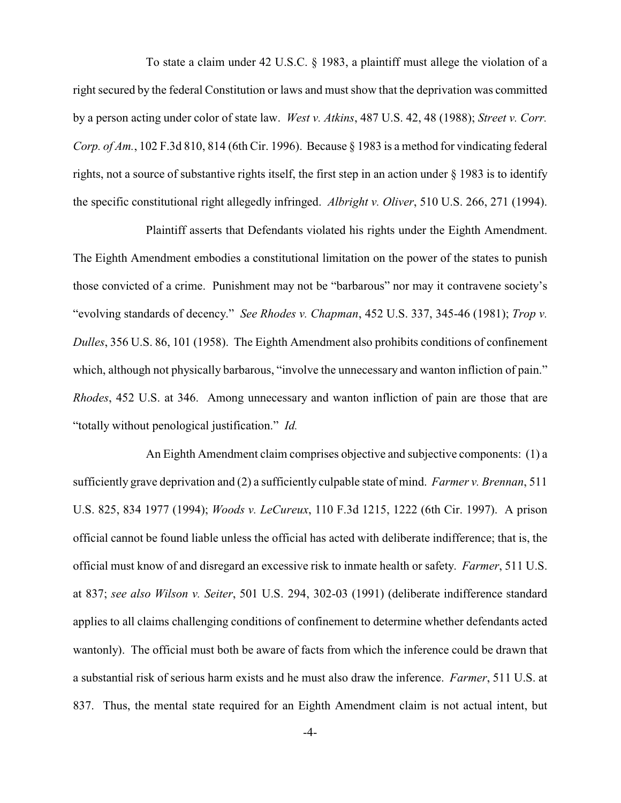To state a claim under 42 U.S.C. § 1983, a plaintiff must allege the violation of a right secured by the federal Constitution or laws and must show that the deprivation was committed by a person acting under color of state law. *West v. Atkins*, 487 U.S. 42, 48 (1988); *Street v. Corr. Corp. of Am.*, 102 F.3d 810, 814 (6th Cir. 1996). Because § 1983 is a method for vindicating federal rights, not a source of substantive rights itself, the first step in an action under § 1983 is to identify the specific constitutional right allegedly infringed. *Albright v. Oliver*, 510 U.S. 266, 271 (1994).

Plaintiff asserts that Defendants violated his rights under the Eighth Amendment. The Eighth Amendment embodies a constitutional limitation on the power of the states to punish those convicted of a crime. Punishment may not be "barbarous" nor may it contravene society's "evolving standards of decency." *See Rhodes v. Chapman*, 452 U.S. 337, 345-46 (1981); *Trop v. Dulles*, 356 U.S. 86, 101 (1958). The Eighth Amendment also prohibits conditions of confinement which, although not physically barbarous, "involve the unnecessary and wanton infliction of pain." *Rhodes*, 452 U.S. at 346. Among unnecessary and wanton infliction of pain are those that are "totally without penological justification." *Id.*

An Eighth Amendment claim comprises objective and subjective components: (1) a sufficiently grave deprivation and (2) a sufficiently culpable state of mind. *Farmer v. Brennan*, 511 U.S. 825, 834 1977 (1994); *Woods v. LeCureux*, 110 F.3d 1215, 1222 (6th Cir. 1997). A prison official cannot be found liable unless the official has acted with deliberate indifference; that is, the official must know of and disregard an excessive risk to inmate health or safety. *Farmer*, 511 U.S. at 837; *see also Wilson v. Seiter*, 501 U.S. 294, 302-03 (1991) (deliberate indifference standard applies to all claims challenging conditions of confinement to determine whether defendants acted wantonly). The official must both be aware of facts from which the inference could be drawn that a substantial risk of serious harm exists and he must also draw the inference. *Farmer*, 511 U.S. at 837. Thus, the mental state required for an Eighth Amendment claim is not actual intent, but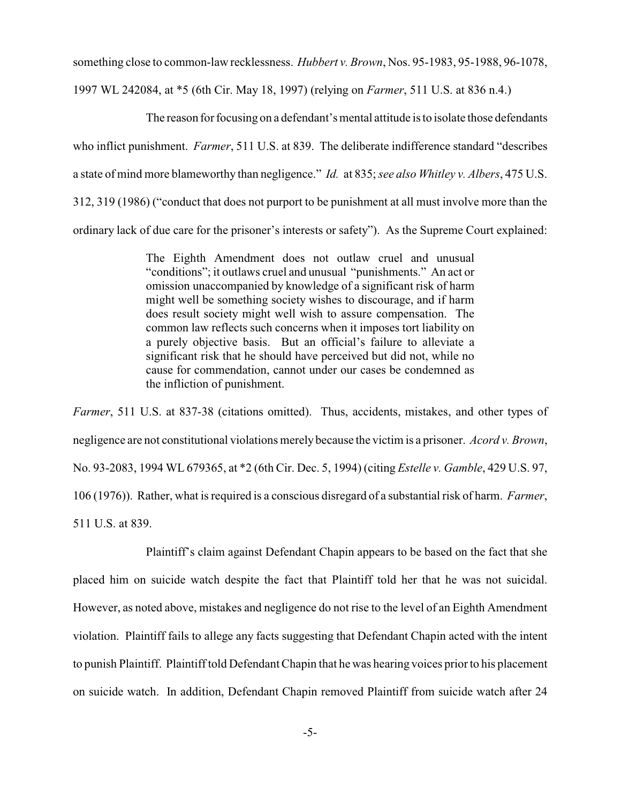something close to common-law recklessness. *Hubbert v. Brown*, Nos. 95-1983, 95-1988, 96-1078,

1997 WL 242084, at \*5 (6th Cir. May 18, 1997) (relying on *Farmer*, 511 U.S. at 836 n.4.)

The reason for focusing on a defendant's mental attitude is to isolate those defendants who inflict punishment. *Farmer*, 511 U.S. at 839. The deliberate indifference standard "describes a state of mind more blameworthy than negligence." *Id.* at 835; *see also Whitley v. Albers*, 475 U.S. 312, 319 (1986) ("conduct that does not purport to be punishment at all must involve more than the ordinary lack of due care for the prisoner's interests or safety"). As the Supreme Court explained:

> The Eighth Amendment does not outlaw cruel and unusual "conditions"; it outlaws cruel and unusual "punishments." An act or omission unaccompanied by knowledge of a significant risk of harm might well be something society wishes to discourage, and if harm does result society might well wish to assure compensation. The common law reflects such concerns when it imposes tort liability on a purely objective basis. But an official's failure to alleviate a significant risk that he should have perceived but did not, while no cause for commendation, cannot under our cases be condemned as the infliction of punishment.

*Farmer*, 511 U.S. at 837-38 (citations omitted). Thus, accidents, mistakes, and other types of negligence are not constitutional violations merelybecause the victim is a prisoner. *Acord v. Brown*, No. 93-2083, 1994 WL 679365, at \*2 (6th Cir. Dec. 5, 1994) (citing *Estelle v. Gamble*, 429 U.S. 97, 106 (1976)). Rather, what is required is a conscious disregard of a substantial risk of harm. *Farmer*, 511 U.S. at 839.

Plaintiff's claim against Defendant Chapin appears to be based on the fact that she placed him on suicide watch despite the fact that Plaintiff told her that he was not suicidal. However, as noted above, mistakes and negligence do not rise to the level of an Eighth Amendment violation. Plaintiff fails to allege any facts suggesting that Defendant Chapin acted with the intent to punish Plaintiff. Plaintiff told Defendant Chapin that he was hearing voices prior to his placement on suicide watch. In addition, Defendant Chapin removed Plaintiff from suicide watch after 24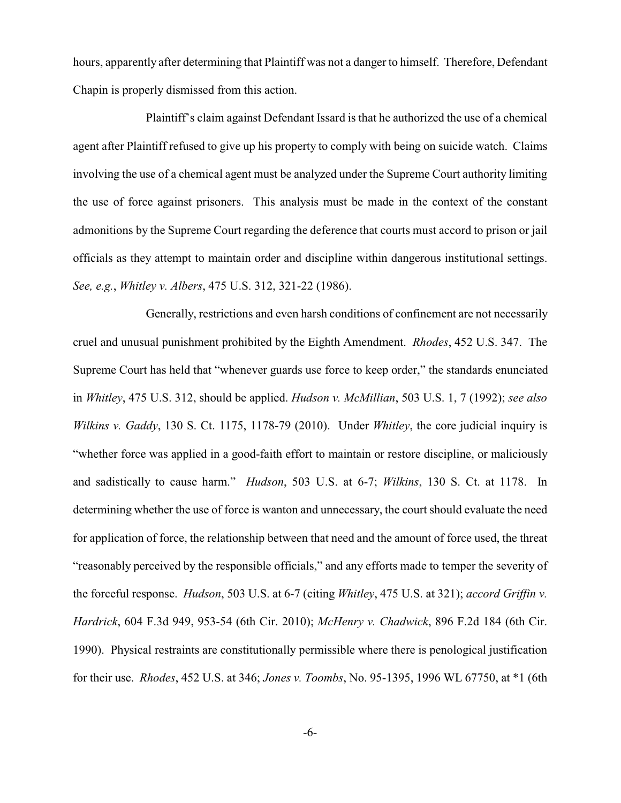hours, apparently after determining that Plaintiff was not a danger to himself. Therefore, Defendant Chapin is properly dismissed from this action.

Plaintiff's claim against Defendant Issard is that he authorized the use of a chemical agent after Plaintiff refused to give up his property to comply with being on suicide watch. Claims involving the use of a chemical agent must be analyzed under the Supreme Court authority limiting the use of force against prisoners. This analysis must be made in the context of the constant admonitions by the Supreme Court regarding the deference that courts must accord to prison or jail officials as they attempt to maintain order and discipline within dangerous institutional settings. *See, e.g.*, *Whitley v. Albers*, 475 U.S. 312, 321-22 (1986).

Generally, restrictions and even harsh conditions of confinement are not necessarily cruel and unusual punishment prohibited by the Eighth Amendment. *Rhodes*, 452 U.S. 347. The Supreme Court has held that "whenever guards use force to keep order," the standards enunciated in *Whitley*, 475 U.S. 312, should be applied. *Hudson v. McMillian*, 503 U.S. 1, 7 (1992); *see also Wilkins v. Gaddy*, 130 S. Ct. 1175, 1178-79 (2010). Under *Whitley*, the core judicial inquiry is "whether force was applied in a good-faith effort to maintain or restore discipline, or maliciously and sadistically to cause harm." *Hudson*, 503 U.S. at 6-7; *Wilkins*, 130 S. Ct. at 1178. In determining whether the use of force is wanton and unnecessary, the court should evaluate the need for application of force, the relationship between that need and the amount of force used, the threat "reasonably perceived by the responsible officials," and any efforts made to temper the severity of the forceful response. *Hudson*, 503 U.S. at 6-7 (citing *Whitley*, 475 U.S. at 321); *accord Griffin v. Hardrick*, 604 F.3d 949, 953-54 (6th Cir. 2010); *McHenry v. Chadwick*, 896 F.2d 184 (6th Cir. 1990). Physical restraints are constitutionally permissible where there is penological justification for their use. *Rhodes*, 452 U.S. at 346; *Jones v. Toombs*, No. 95-1395, 1996 WL 67750, at \*1 (6th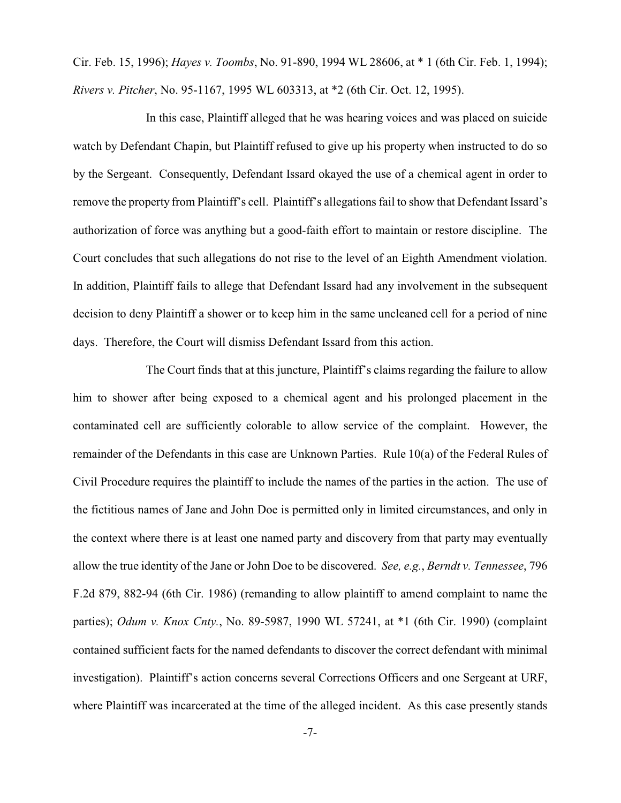Cir. Feb. 15, 1996); *Hayes v. Toombs*, No. 91-890, 1994 WL 28606, at \* 1 (6th Cir. Feb. 1, 1994); *Rivers v. Pitcher*, No. 95-1167, 1995 WL 603313, at \*2 (6th Cir. Oct. 12, 1995).

In this case, Plaintiff alleged that he was hearing voices and was placed on suicide watch by Defendant Chapin, but Plaintiff refused to give up his property when instructed to do so by the Sergeant. Consequently, Defendant Issard okayed the use of a chemical agent in order to remove the property from Plaintiff's cell. Plaintiff's allegations fail to show that Defendant Issard's authorization of force was anything but a good-faith effort to maintain or restore discipline. The Court concludes that such allegations do not rise to the level of an Eighth Amendment violation. In addition, Plaintiff fails to allege that Defendant Issard had any involvement in the subsequent decision to deny Plaintiff a shower or to keep him in the same uncleaned cell for a period of nine days. Therefore, the Court will dismiss Defendant Issard from this action.

The Court finds that at this juncture, Plaintiff's claims regarding the failure to allow him to shower after being exposed to a chemical agent and his prolonged placement in the contaminated cell are sufficiently colorable to allow service of the complaint. However, the remainder of the Defendants in this case are Unknown Parties. Rule 10(a) of the Federal Rules of Civil Procedure requires the plaintiff to include the names of the parties in the action. The use of the fictitious names of Jane and John Doe is permitted only in limited circumstances, and only in the context where there is at least one named party and discovery from that party may eventually allow the true identity of the Jane or John Doe to be discovered. *See, e.g.*, *Berndt v. Tennessee*, 796 F.2d 879, 882-94 (6th Cir. 1986) (remanding to allow plaintiff to amend complaint to name the parties); *Odum v. Knox Cnty.*, No. 89-5987, 1990 WL 57241, at \*1 (6th Cir. 1990) (complaint contained sufficient facts for the named defendants to discover the correct defendant with minimal investigation). Plaintiff's action concerns several Corrections Officers and one Sergeant at URF, where Plaintiff was incarcerated at the time of the alleged incident. As this case presently stands